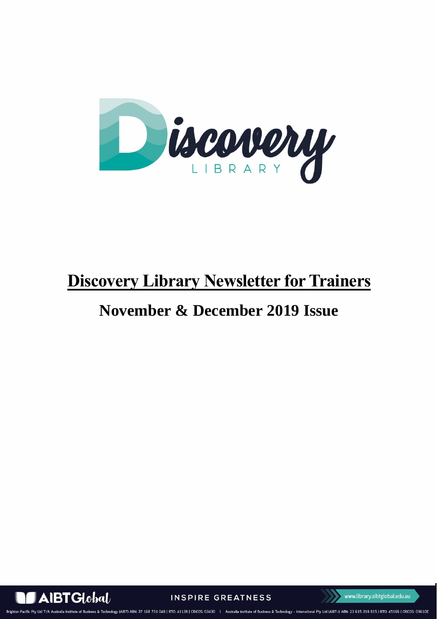

# **Discovery Library Newsletter for Trainers**

# **November & December 2019 Issue**



**INSPIRE GREATNESS** 



**Brighton Pacific Pty Ltd T** 168 731 048 | RTO: 41138 | CRICOS: 03430 | Australia Institute of Business & Technology - International Pty Ltd (AIBT-I) ABN: 23 615 318 815 | RTO: **ASS & Technology (AIRT) ARN**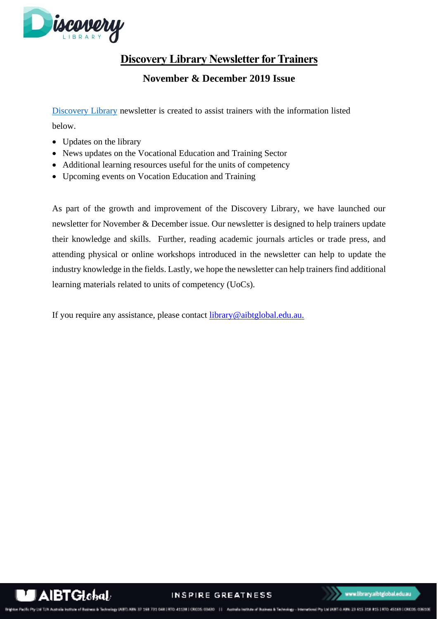

# **Discovery Library Newsletter for Trainers**

**November & December 2019 Issue**

[Discovery Library](https://library.aibtglobal.edu.au/?utm_source=greenbar&utm_medium=url) newsletter is created to assist trainers with the information listed below.

- Updates on the library
- News updates on the Vocational Education and Training Sector
- Additional learning resources useful for the units of competency
- Upcoming events on Vocation Education and Training

As part of the growth and improvement of the Discovery Library, we have launched our newsletter for November & December issue. Our newsletter is designed to help trainers update their knowledge and skills. Further, reading academic journals articles or trade press, and attending physical or online workshops introduced in the newsletter can help to update the industry knowledge in the fields. Lastly, we hope the newsletter can help trainers find additional learning materials related to units of competency (UoCs).

If you require any assistance, please contact [library@aibtglobal.edu.au.](mailto:library@aibtglobal.edu.au)



INSPIRE GREATNESS

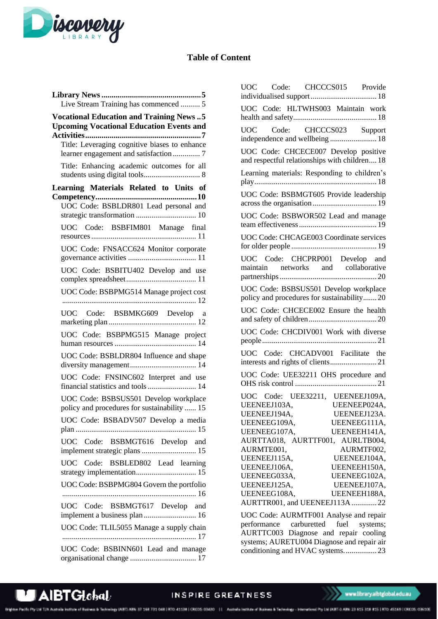

## **Table of Content**

| Live Stream Training has commenced  5                                                             |  |  |
|---------------------------------------------------------------------------------------------------|--|--|
| <b>Vocational Education and Training News5</b><br><b>Upcoming Vocational Education Events and</b> |  |  |
| Title: Leveraging cognitive biases to enhance                                                     |  |  |
| Title: Enhancing academic outcomes for all                                                        |  |  |
| Learning Materials Related to Units of                                                            |  |  |
| UOC Code: BSBLDR801 Lead personal and                                                             |  |  |
|                                                                                                   |  |  |
| UOC Code: BSBFIM801 Manage final                                                                  |  |  |
| UOC Code: FNSACC624 Monitor corporate                                                             |  |  |
| UOC Code: BSBITU402 Develop and use                                                               |  |  |
| UOC Code: BSBPMG514 Manage project cost                                                           |  |  |
| UOC Code: BSBMKG609 Develop a                                                                     |  |  |
| UOC Code: BSBPMG515 Manage project                                                                |  |  |
| UOC Code: BSBLDR804 Influence and shape                                                           |  |  |
| UOC Code: FNSINC602 Interpret and use<br>financial statistics and tools 14                        |  |  |
| UOC Code: BSBSUS501 Develop workplace<br>policy and procedures for sustainability  15             |  |  |
| UOC Code: BSBADV507 Develop a media                                                               |  |  |
| UOC Code: BSBMGT616 Develop and<br>implement strategic plans  15                                  |  |  |
| UOC Code: BSBLED802 Lead learning                                                                 |  |  |
| UOC Code: BSBPMG804 Govern the portfolio                                                          |  |  |
| UOC Code: BSBMGT617 Develop and<br>implement a business plan  16                                  |  |  |
| UOC Code: TLIL5055 Manage a supply chain                                                          |  |  |
| UOC Code: BSBINN601 Lead and manage                                                               |  |  |

| UOC Code: CHCCCS015 Provide                                                                                                                                                                                                                                                                                                                                                                                                      |
|----------------------------------------------------------------------------------------------------------------------------------------------------------------------------------------------------------------------------------------------------------------------------------------------------------------------------------------------------------------------------------------------------------------------------------|
| UOC Code: HLTWHS003 Maintain work                                                                                                                                                                                                                                                                                                                                                                                                |
| UOC Code: CHCCCS023 Support<br>independence and wellbeing  18                                                                                                                                                                                                                                                                                                                                                                    |
| UOC Code: CHCECE007 Develop positive<br>and respectful relationships with children 18                                                                                                                                                                                                                                                                                                                                            |
| Learning materials: Responding to children's                                                                                                                                                                                                                                                                                                                                                                                     |
| UOC Code: BSBMGT605 Provide leadership                                                                                                                                                                                                                                                                                                                                                                                           |
| UOC Code: BSBWOR502 Lead and manage                                                                                                                                                                                                                                                                                                                                                                                              |
| UOC Code: CHCAGE003 Coordinate services                                                                                                                                                                                                                                                                                                                                                                                          |
| UOC Code: CHCPRP001 Develop and<br>maintain networks and collaborative                                                                                                                                                                                                                                                                                                                                                           |
| UOC Code: BSBSUS501 Develop workplace<br>policy and procedures for sustainability20                                                                                                                                                                                                                                                                                                                                              |
| UOC Code: CHCECE002 Ensure the health                                                                                                                                                                                                                                                                                                                                                                                            |
| UOC Code: CHCDIV001 Work with diverse                                                                                                                                                                                                                                                                                                                                                                                            |
| UOC Code: CHCADV001 Facilitate the                                                                                                                                                                                                                                                                                                                                                                                               |
| UOC Code: UEE32211 OHS procedure and                                                                                                                                                                                                                                                                                                                                                                                             |
| UOC Code: UEE32211, UEENEEJ109A,<br>UEENEEP024A,<br>UEENEEJ103A,<br>UEENEEJ194A,<br>UEENEEJ123A.<br>UEENEEG109A,<br>UEENEEG111A,<br>UEENEEG107A,<br>UEENEEH141A,<br>AURTTA018, AURTTF001, AURLTB004,<br>AURMTE001,<br>AURMTF002,<br>UEENEEJ115A,<br>UEENEEJ104A,<br>UEENEEJ106A,<br>UEENEEH150A,<br>UEENEEG102A,<br>UEENEEG033A,<br>UEENEEJ125A,<br>UEENEEJ107A,<br>UEENEEG108A,<br>UEENEEH188A,<br>AURTTR001, and UEENEEJ113A22 |
| UOC Code: AURMTF001 Analyse and repair<br>nerformance carburetted fuel systems                                                                                                                                                                                                                                                                                                                                                   |

[performance carburetted fuel systems;](#page-22-0)  [AURTTC003 Diagnose and repair cooling](#page-22-0)  [systems; AURETU004 Diagnose and repair air](#page-22-0)  [conditioning and HVAC systems.................](#page-22-0) 23

ne of Basi

Brighton Pacific Pty Ltd T/A Australia Ins

#### INSPIRE GREATNESS

ees & Technology (ABT) ABN: 37 168 731 048 | RTO: 41138 | CRCOS: 03430 | | | | Australia Institute of Business & Technology - International Pty Ltd (ABT-0 ABN: 25 615 318 815 | RTO: 45169 | CRCOS: 03610E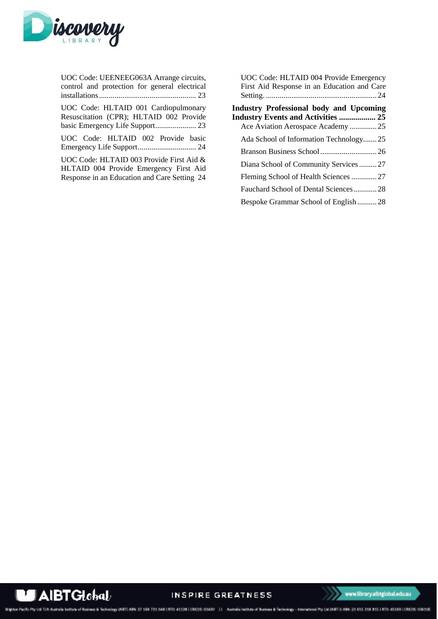

| UOC Code: UEENEEG063A Arrange circuits,<br>control and protection for general electrical                                           |
|------------------------------------------------------------------------------------------------------------------------------------|
| UOC Code: HLTAID 001 Cardiopulmonary<br>Resuscitation (CPR); HLTAID 002 Provide                                                    |
| UOC Code: HLTAID 002 Provide basic                                                                                                 |
| UOC Code: HLTAID 003 Provide First Aid &<br>HLTAID 004 Provide Emergency First Aid<br>Response in an Education and Care Setting 24 |

| UOC Code: HLTAID 004 Provide Emergency<br>First Aid Response in an Education and Care                                            |
|----------------------------------------------------------------------------------------------------------------------------------|
|                                                                                                                                  |
| <b>Industry Professional body and Upcoming</b><br><b>Industry Events and Activities  25</b><br>Ace Aviation Aerospace Academy 25 |
| Ada School of Information Technology25                                                                                           |
|                                                                                                                                  |
| Diana School of Community Services27                                                                                             |
| Fleming School of Health Sciences 27                                                                                             |
| Fauchard School of Dental Sciences28                                                                                             |
| Bespoke Grammar School of English28                                                                                              |



INSPIRE GREATNESS

www.library.aibtglobal.edu.au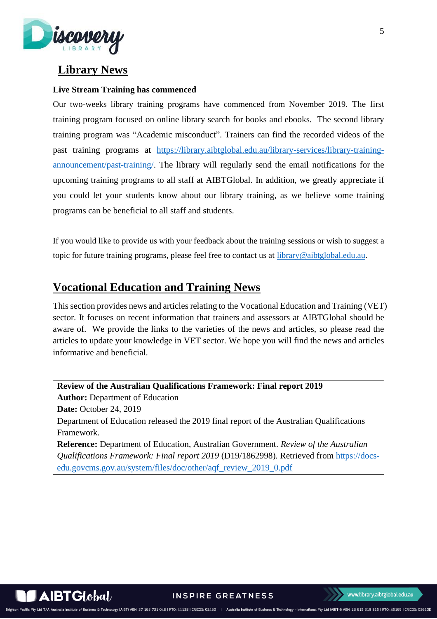

# <span id="page-4-0"></span>**Library News**

### <span id="page-4-1"></span>**Live Stream Training has commenced**

Our two-weeks library training programs have commenced from November 2019. The first training program focused on online library search for books and ebooks. The second library training program was "Academic misconduct". Trainers can find the recorded videos of the past training programs at [https://library.aibtglobal.edu.au/library-services/library-training](https://library.aibtglobal.edu.au/library-services/library-training-announcement/past-training/)[announcement/past-training/.](https://library.aibtglobal.edu.au/library-services/library-training-announcement/past-training/) The library will regularly send the email notifications for the upcoming training programs to all staff at AIBTGlobal. In addition, we greatly appreciate if you could let your students know about our library training, as we believe some training programs can be beneficial to all staff and students.

If you would like to provide us with your feedback about the training sessions or wish to suggest a topic for future training programs, please feel free to contact us at [library@aibtglobal.edu.au.](mailto:library@aibtglobal.edu.au)

# <span id="page-4-2"></span>**Vocational Education and Training News**

This section provides news and articles relating to the Vocational Education and Training (VET) sector. It focuses on recent information that trainers and assessors at AIBTGlobal should be aware of. We provide the links to the varieties of the news and articles, so please read the articles to update your knowledge in VET sector. We hope you will find the news and articles informative and beneficial.

**Review of the Australian Qualifications Framework: Final report 2019 Author:** Department of Education **Date:** October 24, 2019 Department of Education released the 2019 final report of the Australian Qualifications Framework. **Reference:** Department of Education, Australian Government. *Review of the Australian Qualifications Framework: Final report 2019* (D19/1862998)*.* Retrieved from [https://docs-](https://docs-edu.govcms.gov.au/system/files/doc/other/aqf_review_2019_0.pdf)

[edu.govcms.gov.au/system/files/doc/other/aqf\\_review\\_2019\\_0.pdf](https://docs-edu.govcms.gov.au/system/files/doc/other/aqf_review_2019_0.pdf)

5

 $\triangle$ IBT $G$ Iobal

**INSPIRE GREATNESS** 

chnology (AIBT) ABN: 37 168 731 048 | RTO: 41138 | CRICOS: 03430 | Australia Institute of Business & Technology - International Pty Ltd (AIBT-I) ABN: 23 615 318 815 | RTO: 45169 | CRICOS: 03610E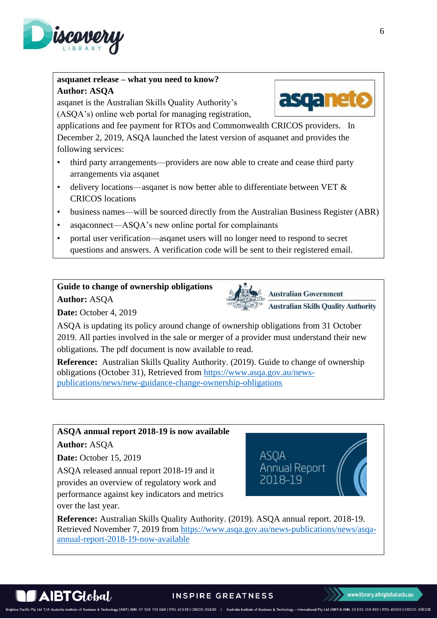

# **asquanet release – what you need to know? Author: ASQA**

asqanet is the Australian Skills Quality Authority's (ASQA's) online web portal for managing registration,

applications and fee payment for RTOs and Commonwealth CRICOS providers. In December 2, 2019, ASQA launched the latest version of asquanet and provides the following services:

- third party arrangements—providers are now able to create and cease third party arrangements via asqanet
- delivery locations—asqanet is now better able to differentiate between VET  $\&$ CRICOS locations
- business names—will be sourced directly from the Australian Business Register (ABR)
- asqaconnect—ASQA's new online portal for complainants
- portal user verification—asqanet users will no longer need to respond to secret questions and answers. A verification code will be sent to their registered email.

# **Guide to change of ownership obligations**

**Author:** ASQA

**Date:** October 4, 2019



**Reference:** Australian Skills Quality Authority. (2019). Guide to change of ownership obligations (October 31), Retrieved from [https://www.asqa.gov.au/news](https://www.asqa.gov.au/news-publications/news/new-guidance-change-ownership-obligations)[publications/news/new-guidance-change-ownership-obligations](https://www.asqa.gov.au/news-publications/news/new-guidance-change-ownership-obligations)

# **ASQA annual report 2018-19 is now available**

## **Author:** ASQA

**Date:** October 15, 2019

ASQA released annual report 2018-19 and it provides an overview of regulatory work and performance against key indicators and metrics over the last year.



**Australian Government** 

**Australian Skills Quality Authority** 

**Reference:** Australian Skills Quality Authority. (2019). ASQA annual report. 2018-19. Retrieved November 7, 2019 from [https://www.asqa.gov.au/news-publications/news/asqa](https://www.asqa.gov.au/news-publications/news/asqa-annual-report-2018-19-now-available)[annual-report-2018-19-now-available](https://www.asqa.gov.au/news-publications/news/asqa-annual-report-2018-19-now-available)





### **INSPIRE GREATNESS**

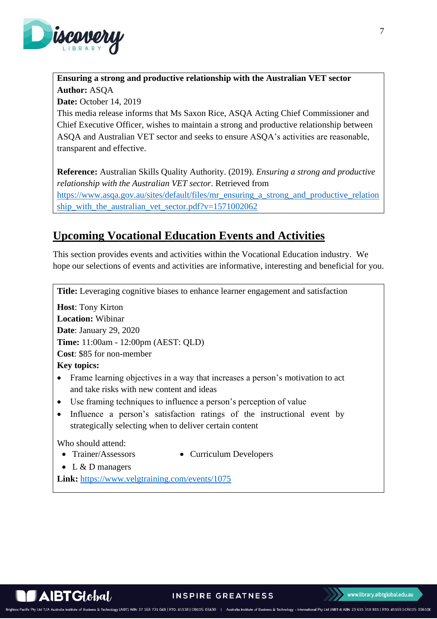

# **Ensuring a strong and productive relationship with the Australian VET sector Author:** ASQA

**Date:** October 14, 2019

This media release informs that Ms Saxon Rice, ASQA Acting Chief Commissioner and Chief Executive Officer, wishes to maintain a strong and productive relationship between ASQA and Australian VET sector and seeks to ensure ASQA's activities are reasonable, transparent and effective.

**Reference:** Australian Skills Quality Authority. (2019). *Ensuring a strong and productive relationship with the Australian VET sector.* Retrieved from [https://www.asqa.gov.au/sites/default/files/mr\\_ensuring\\_a\\_strong\\_and\\_productive\\_relation](https://www.asqa.gov.au/sites/default/files/mr_ensuring_a_strong_and_productive_relationship_with_the_australian_vet_sector.pdf?v=1571002062) [ship\\_with\\_the\\_australian\\_vet\\_sector.pdf?v=1571002062](https://www.asqa.gov.au/sites/default/files/mr_ensuring_a_strong_and_productive_relationship_with_the_australian_vet_sector.pdf?v=1571002062)

# <span id="page-6-0"></span>**Upcoming Vocational Education Events and Activities**

This section provides events and activities within the Vocational Education industry. We hope our selections of events and activities are informative, interesting and beneficial for you.

<span id="page-6-1"></span>**Title:** Leveraging cognitive biases to enhance learner engagement and satisfaction

**Host**: Tony Kirton **Location:** Wibinar **Date**: January 29, 2020 **Time:** 11:00am - 12:00pm (AEST: QLD) **Cost**: \$85 for non-member **Key topics:** 

- Frame learning objectives in a way that increases a person's motivation to act and take risks with new content and ideas
- Use framing techniques to influence a person's perception of value
- Influence a person's satisfaction ratings of the instructional event by strategically selecting when to deliver certain content

Who should attend:

- 
- Trainer/Assessors Curriculum Developers
- L & D managers

**Link:** <https://www.velgtraining.com/events/1075>

echnology (AIBT) ABN: 37 168 731 048 | RTO: 41138 | CRICOS: 03430 | Australia Institute of Business & Technology - International Pty Ltd (AIBT-I) ABN: 23 615 318 815 | RTO: 45169 | CRICOS: 03610E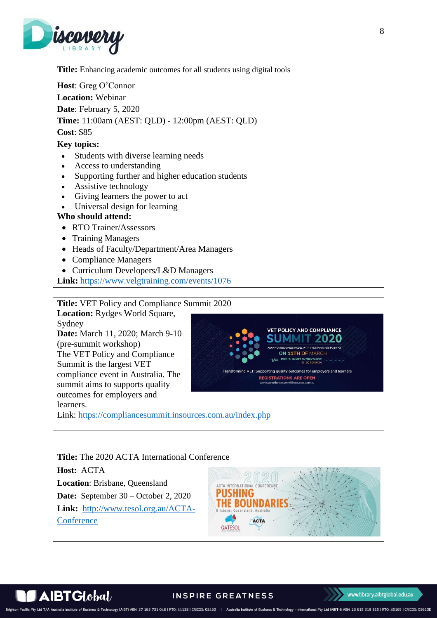

<span id="page-7-0"></span>**Title:** Enhancing academic outcomes for all students using digital tools **Host**: Greg O'Connor **Location:** Webinar **Date**: February 5, 2020 **Time:** 11:00am (AEST: QLD) - 12:00pm (AEST: QLD) **Cost**: \$85 **Key topics:**  Students with diverse learning needs • Access to understanding • Supporting further and higher education students • Assistive technology • Giving learners the power to act • Universal design for learning **Who should attend:**  • RTO Trainer/Assessors • Training Managers • Heads of Faculty/Department/Area Managers • Compliance Managers • Curriculum Developers/L&D Managers

**Link:** <https://www.velgtraining.com/events/1076>

**Title:** VET Policy and Compliance Summit 2020

**Location:** Rydges World Square,

Sydney

**Date:** March 11, 2020; March 9-10 (pre-summit workshop) The VET Policy and Compliance Summit is the largest VET compliance event in Australia. The summit aims to supports quality outcomes for employers and learners.

Link:<https://compliancesummit.insources.com.au/index.php>





www.library.aibtglobal.edu.au

**VET POLICY AND COMPLIANCE UMMIT 2020** 

ON 11TH OF MARCH

ting quality outcomes for emplo **REGISTRATIONS ARE OPEN** 

s & Technology (AIBT) ABN: 37 168 731 048 | RTO: 41138 | CRICOS: 03430 | Australia Institute of Business & Technology - International Pty Ltd (AIBT-I) ABN: 23 615 318 815 | RTO: 45169 | CRICOS: 03610E Brighton Pacific Pty Ltd T/A Australia Institute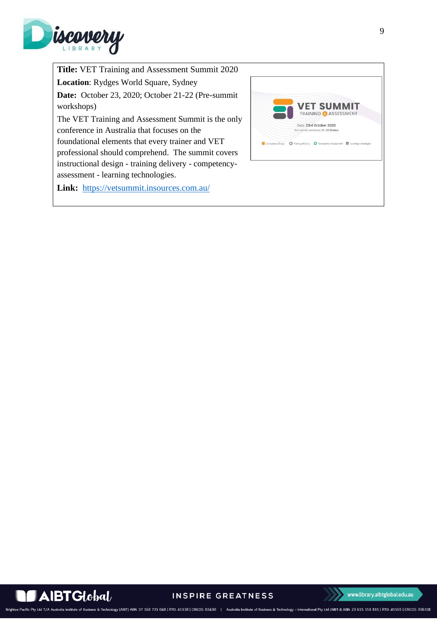

**Title:** VET Training and Assessment Summit 2020 **Location**: Rydges World Square, Sydney **Date:** October 23, 2020; October 21-22 (Pre-summit workshops) The VET Training and Assessment Summit is the only conference in Australia that focuses on the foundational elements that every trainer and VET professional should comprehend. The summit covers instructional design - training delivery - competencyassessment - learning technologies.

**Link:** <https://vetsummit.insources.com.au/>



**AIBTGlobal** 

**INSPIRE GREATNESS** 

www.library.aibtglobal.edu.au

Australia Institute of Business & Technology - International Pty Ltd (AIBT-I) ABN: 23 615 318 815 | RTO: 45169 | CRICOS: 03610E Brighton Pacific Pty Ltd T/A A Fechnology (AIBT) ABN: 37 168 731 048 | RTO: 41138 | CRICOS: 03430 | |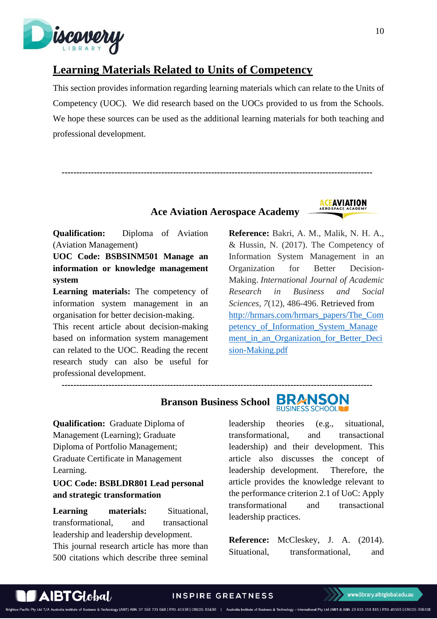

# <span id="page-9-0"></span>**Learning Materials Related to Units of Competency**

This section provides information regarding learning materials which can relate to the Units of Competency (UOC). We did research based on the UOCs provided to us from the Schools. We hope these sources can be used as the additional learning materials for both teaching and professional development.

**Ace Aviation Aerospace Academy**

 **----------------------------------------------------------------------------------------------------------**



**Qualification:** Diploma of Aviation (Aviation Management)

**UOC Code: BSBSINM501 Manage an information or knowledge management system**

**Learning materials:** The competency of information system management in an organisation for better decision-making.

This recent article about decision-making based on information system management can related to the UOC. Reading the recent research study can also be useful for professional development.

**Reference:** Bakri, A. M., Malik, N. H. A., & Hussin, N. (2017). The Competency of Information System Management in an Organization for Better Decision-Making. *International Journal of Academic Research in Business and Social Sciences*, *7*(12), 486-496. Retrieved from [http://hrmars.com/hrmars\\_papers/The\\_Com](http://hrmars.com/hrmars_papers/The_Competency_of_Information_System_Management_in_an_Organization_for_Better_Decision-Making.pdf) [petency\\_of\\_Information\\_System\\_Manage](http://hrmars.com/hrmars_papers/The_Competency_of_Information_System_Management_in_an_Organization_for_Better_Decision-Making.pdf) [ment\\_in\\_an\\_Organization\\_for\\_Better\\_Deci](http://hrmars.com/hrmars_papers/The_Competency_of_Information_System_Management_in_an_Organization_for_Better_Decision-Making.pdf) [sion-Making.pdf](http://hrmars.com/hrmars_papers/The_Competency_of_Information_System_Management_in_an_Organization_for_Better_Decision-Making.pdf)

 **Branson Business School** 

 **----------------------------------------------------------------------------------------------------------**



**Qualification:** Graduate Diploma of Management (Learning); Graduate Diploma of Portfolio Management; Graduate Certificate in Management Learning.

<span id="page-9-1"></span>**UOC Code: BSBLDR801 Lead personal and strategic transformation**

**Learning materials:** Situational, transformational, and transactional leadership and leadership development.

This journal research article has more than 500 citations which describe three seminal

leadership theories (e.g., situational, transformational, and transactional leadership) and their development. This article also discusses the concept of leadership development. Therefore, the article provides the knowledge relevant to the performance criterion 2.1 of UoC: Apply transformational and transactional leadership practices.

**Reference:** McCleskey, J. A. (2014). Situational, transformational, and

 $\blacktriangle$ IBT $G$ I $\mathit{obal}$ 

Brighton Pacific Pty Ltd T/A A

ss & Technology (AIBT) ABN: 37 168 731 048 | RTO: 41138 | CRICOS: 03430 | Australia Institute of Business & Technology - International Pty Ltd (AIBT-I) ABN: 23 615 318 815 | RTO: 45169 | CRICOS: 03610E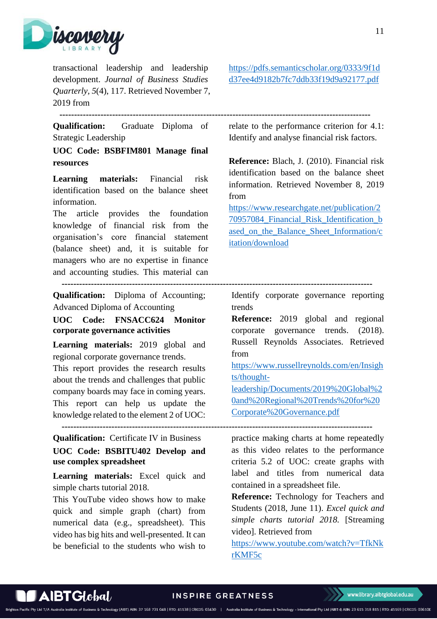

transactional leadership and leadership development. *Journal of Business Studies Quarterly, 5*(4), 117. Retrieved November 7, 2019 from

[https://pdfs.semanticscholar.org/0333/9f1d](https://pdfs.semanticscholar.org/0333/9f1dd37ee4d9182b7fc7ddb33f19d9a92177.pdf) [d37ee4d9182b7fc7ddb33f19d9a92177.pdf](https://pdfs.semanticscholar.org/0333/9f1dd37ee4d9182b7fc7ddb33f19d9a92177.pdf)

 **----------------------------------------------------------------------------------------------------------**

**Qualification:** Graduate Diploma of Strategic Leadership

<span id="page-10-0"></span>**UOC Code: BSBFIM801 Manage final resources** 

**Learning materials:** Financial risk identification based on the balance sheet information.

The article provides the foundation knowledge of financial risk from the organisation's core financial statement (balance sheet) and, it is suitable for managers who are no expertise in finance and accounting studies. This material can

**Qualification:** Diploma of Accounting; Advanced Diploma of Accounting

<span id="page-10-1"></span>**UOC Code: FNSACC624 Monitor corporate governance activities**

**Learning materials:** 2019 global and regional corporate governance trends.

This report provides the research results about the trends and challenges that public company boards may face in coming years. This report can help us update the knowledge related to the element 2 of UOC:

**Qualification:** Certificate IV in Business

<span id="page-10-2"></span>**UOC Code: BSBITU402 Develop and use complex spreadsheet**

**Learning materials:** Excel quick and simple charts tutorial 2018.

This YouTube video shows how to make quick and simple graph (chart) from numerical data (e.g., spreadsheet). This video has big hits and well-presented. It can be beneficial to the students who wish to relate to the performance criterion for 4.1: Identify and analyse financial risk factors.

**Reference:** Blach, J. (2010). Financial risk identification based on the balance sheet information. Retrieved November 8, 2019 from

[https://www.researchgate.net/publication/2](https://www.researchgate.net/publication/270957084_Financial_Risk_Identification_based_on_the_Balance_Sheet_Information/citation/download) [70957084\\_Financial\\_Risk\\_Identification\\_b](https://www.researchgate.net/publication/270957084_Financial_Risk_Identification_based_on_the_Balance_Sheet_Information/citation/download) [ased\\_on\\_the\\_Balance\\_Sheet\\_Information/c](https://www.researchgate.net/publication/270957084_Financial_Risk_Identification_based_on_the_Balance_Sheet_Information/citation/download) [itation/download](https://www.researchgate.net/publication/270957084_Financial_Risk_Identification_based_on_the_Balance_Sheet_Information/citation/download)

 **----------------------------------------------------------------------------------------------------------**

Identify corporate governance reporting trends

**Reference:** 2019 global and regional corporate governance trends. (2018). Russell Reynolds Associates. Retrieved from

[https://www.russellreynolds.com/en/Insigh](https://www.russellreynolds.com/en/Insights/thought-leadership/Documents/2019%20Global%20and%20Regional%20Trends%20for%20Corporate%20Governance.pdf) [ts/thought-](https://www.russellreynolds.com/en/Insights/thought-leadership/Documents/2019%20Global%20and%20Regional%20Trends%20for%20Corporate%20Governance.pdf)

[leadership/Documents/2019%20Global%2](https://www.russellreynolds.com/en/Insights/thought-leadership/Documents/2019%20Global%20and%20Regional%20Trends%20for%20Corporate%20Governance.pdf) [0and%20Regional%20Trends%20for%20](https://www.russellreynolds.com/en/Insights/thought-leadership/Documents/2019%20Global%20and%20Regional%20Trends%20for%20Corporate%20Governance.pdf) [Corporate%20Governance.pdf](https://www.russellreynolds.com/en/Insights/thought-leadership/Documents/2019%20Global%20and%20Regional%20Trends%20for%20Corporate%20Governance.pdf)

 **----------------------------------------------------------------------------------------------------------**

practice making charts at home repeatedly as this video relates to the performance criteria 5.2 of UOC: create graphs with label and titles from numerical data contained in a spreadsheet file.

**Reference:** Technology for Teachers and Students (2018, June 11). *Excel quick and simple charts tutorial 2018.* [Streaming video]. Retrieved from

[https://www.youtube.com/watch?v=TfkNk](https://www.youtube.com/watch?v=TfkNkrKMF5c) [rKMF5c](https://www.youtube.com/watch?v=TfkNkrKMF5c)

& Technology (AIBT) ABN: 37 168 731 048 | RTO: 41138 | CRICOS: 03430 | Australia Institute of Business & Technology - International Pty Ltd (AIBT-I) ABN: 23 615 318 815 | RTO: 45169 | CRICOS: 03610E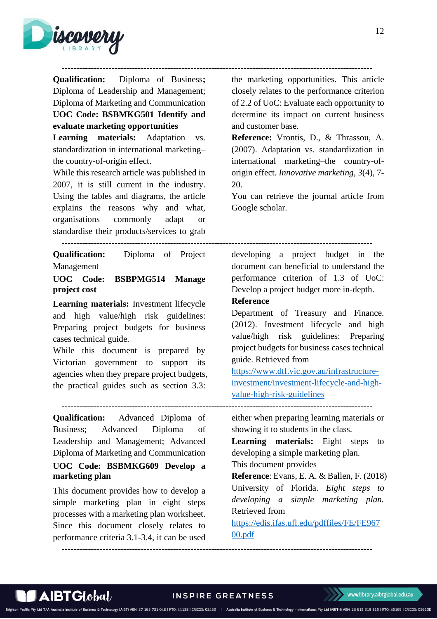



**Qualification:** Diploma of Business**;**  Diploma of Leadership and Management; Diploma of Marketing and Communication **UOC Code: BSBMKG501 Identify and evaluate marketing opportunities**

**Learning materials:** Adaptation vs. standardization in international marketing– the country-of-origin effect.

While this research article was published in 2007, it is still current in the industry. Using the tables and diagrams, the article explains the reasons why and what, organisations commonly adapt or standardise their products/services to grab

**Qualification:** Diploma of Project Management

### <span id="page-11-0"></span>**UOC Code: BSBPMG514 Manage project cost**

**Learning materials:** Investment lifecycle and high value/high risk guidelines: Preparing project budgets for business cases technical guide.

While this document is prepared by Victorian government to support its agencies when they prepare project budgets, the practical guides such as section 3.3:

 **----------------------------------------------------------------------------------------------------------**

**Qualification:** Advanced Diploma of Business; Advanced Diploma of Leadership and Management; Advanced Diploma of Marketing and Communication **UOC Code: BSBMKG609 Develop a marketing plan**

<span id="page-11-1"></span>This document provides how to develop a simple marketing plan in eight steps processes with a marketing plan worksheet. Since this document closely relates to performance criteria 3.1-3.4, it can be used the marketing opportunities. This article closely relates to the performance criterion of 2.2 of UoC: Evaluate each opportunity to determine its impact on current business and customer base.

**Reference:** Vrontis, D., & Thrassou, A. (2007). Adaptation vs. standardization in international marketing–the country-oforigin effect. *Innovative marketing, 3*(4), 7- 20.

You can retrieve the journal article from Google scholar.

#### **----------------------------------------------------------------------------------------------------------**

developing a project budget in the document can beneficial to understand the performance criterion of 1.3 of UoC: Develop a project budget more in-depth.

### **Reference**

Department of Treasury and Finance. (2012). Investment lifecycle and high value/high risk guidelines: Preparing project budgets for business cases technical guide. Retrieved from

[https://www.dtf.vic.gov.au/infrastructure](https://www.dtf.vic.gov.au/infrastructure-investment/investment-lifecycle-and-high-value-high-risk-guidelines)[investment/investment-lifecycle-and-high](https://www.dtf.vic.gov.au/infrastructure-investment/investment-lifecycle-and-high-value-high-risk-guidelines)[value-high-risk-guidelines](https://www.dtf.vic.gov.au/infrastructure-investment/investment-lifecycle-and-high-value-high-risk-guidelines)

either when preparing learning materials or showing it to students in the class.

**Learning materials:** Eight steps to developing a simple marketing plan.

This document provides

& Technology (AIBT) ABN: 37 168 731 048 | RTO: 41138 | CRICOS: 03430 | Australia Institute of Business & Technology - International Pty Ltd (AIBT-I) ABN: 23 615 318 815 | RTO: 45169 | CRICOS: 03610E

**Reference**: Evans, E. A. & Ballen, F. (2018) University of Florida. *Eight steps to developing a simple marketing plan.*  Retrieved from

[https://edis.ifas.ufl.edu/pdffiles/FE/FE967](https://edis.ifas.ufl.edu/pdffiles/FE/FE96700.pdf) [00.pdf](https://edis.ifas.ufl.edu/pdffiles/FE/FE96700.pdf)

 **----------------------------------------------------------------------------------------------------------**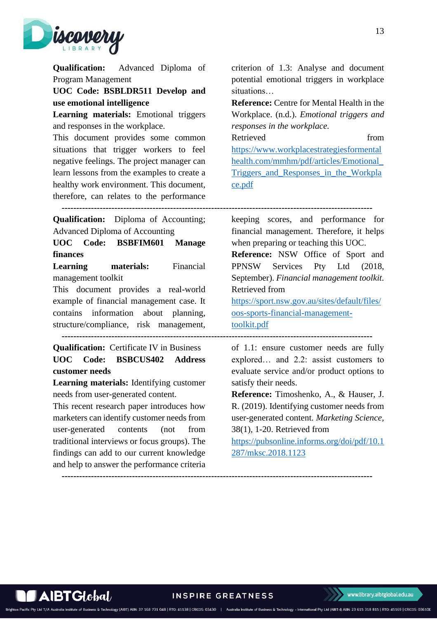

**Qualification:** Advanced Diploma of Program Management

**UOC Code: BSBLDR511 Develop and use emotional intelligence**

**Learning materials:** Emotional triggers and responses in the workplace.

This document provides some common situations that trigger workers to feel negative feelings. The project manager can learn lessons from the examples to create a healthy work environment. This document, therefore, can relates to the performance criterion of 1.3: Analyse and document potential emotional triggers in workplace situations…

**Reference:** Centre for Mental Health in the Workplace. (n.d.). *Emotional triggers and responses in the workplace.*

Retrieved from [https://www.workplacestrategiesformental](https://www.workplacestrategiesformentalhealth.com/mmhm/pdf/articles/Emotional_Triggers_and_Responses_in_the_Workplace.pdf) [health.com/mmhm/pdf/articles/Emotional\\_](https://www.workplacestrategiesformentalhealth.com/mmhm/pdf/articles/Emotional_Triggers_and_Responses_in_the_Workplace.pdf) Triggers and Responses in the Workpla [ce.pdf](https://www.workplacestrategiesformentalhealth.com/mmhm/pdf/articles/Emotional_Triggers_and_Responses_in_the_Workplace.pdf)

 **----------------------------------------------------------------------------------------------------------**

**Qualification:** Diploma of Accounting; Advanced Diploma of Accounting

**UOC Code: BSBFIM601 Manage finances**

**Learning materials:** Financial management toolkit

This document provides a real-world example of financial management case. It contains information about planning, structure/compliance, risk management,

 **----------------------------------------------------------------------------------------------------------**

**Qualification:** Certificate IV in Business **UOC Code: BSBCUS402 Address customer needs**

**Learning materials:** Identifying customer needs from user-generated content.

This recent research paper introduces how marketers can identify customer needs from user-generated contents (not from traditional interviews or focus groups). The findings can add to our current knowledge and help to answer the performance criteria keeping scores, and performance for financial management. Therefore, it helps when preparing or teaching this UOC.

**Reference:** NSW Office of Sport and PPNSW Services Pty Ltd (2018, September). *Financial management toolkit.*  Retrieved from

[https://sport.nsw.gov.au/sites/default/files/](https://sport.nsw.gov.au/sites/default/files/oos-sports-financial-management-toolkit.pdf) [oos-sports-financial-management](https://sport.nsw.gov.au/sites/default/files/oos-sports-financial-management-toolkit.pdf)[toolkit.pdf](https://sport.nsw.gov.au/sites/default/files/oos-sports-financial-management-toolkit.pdf)

of 1.1: ensure customer needs are fully explored… and 2.2: assist customers to evaluate service and/or product options to satisfy their needs.

**Reference:** Timoshenko, A., & Hauser, J. R. (2019). Identifying customer needs from user-generated content. *Marketing Science,* 38(1), 1-20. Retrieved from

[https://pubsonline.informs.org/doi/pdf/10.1](https://pubsonline.informs.org/doi/pdf/10.1287/mksc.2018.1123) [287/mksc.2018.1123](https://pubsonline.informs.org/doi/pdf/10.1287/mksc.2018.1123)

13

 $\mathbf A$ IBT $\mathbf G$ lobal

Brighton Pacific Pty Ltd T/A Australia In

**INSPIRE GREATNESS** 

& Technology (AIBT) ABN: 37 168 731 048 | RTO: 41138 | CRICOS: 03430 | Australia Institute of Business & Technology - International Pty Ltd (AIBT-I) ABN: 23 615 318 815 | RTO: 45169 | CRICOS: 03610E

 **----------------------------------------------------------------------------------------------------------**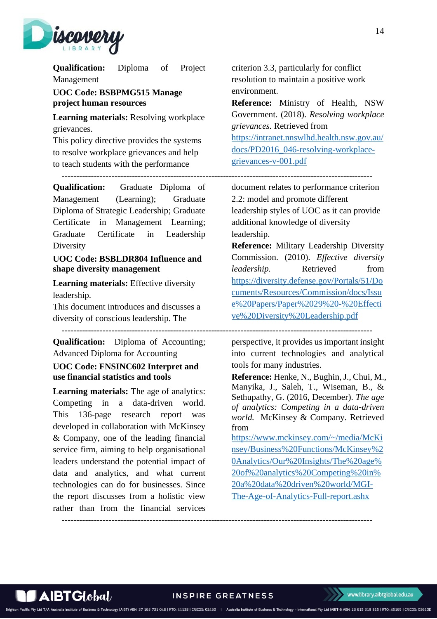

**Qualification:** Diploma of Project Management

<span id="page-13-0"></span>**UOC Code: BSBPMG515 Manage project human resources**

**Learning materials:** Resolving workplace grievances.

This policy directive provides the systems to resolve workplace grievances and help to teach students with the performance

 **----------------------------------------------------------------------------------------------------------**

**Qualification:** Graduate Diploma of Management (Learning); Graduate Diploma of Strategic Leadership; Graduate Certificate in Management Learning; Graduate Certificate in Leadership Diversity

### <span id="page-13-1"></span>**UOC Code: BSBLDR804 Influence and shape diversity management**

**Learning materials:** Effective diversity leadership.

This document introduces and discusses a diversity of conscious leadership. The

**Qualification:** Diploma of Accounting; Advanced Diploma for Accounting

### <span id="page-13-2"></span>**UOC Code: FNSINC602 Interpret and use financial statistics and tools**

**Learning materials:** The age of analytics: Competing in a data-driven world. This 136-page research report was developed in collaboration with McKinsey & Company, one of the leading financial service firm, aiming to help organisational leaders understand the potential impact of data and analytics, and what current technologies can do for businesses. Since the report discusses from a holistic view rather than from the financial services criterion 3.3, particularly for conflict resolution to maintain a positive work environment.

**Reference:** Ministry of Health, NSW Government. (2018). *Resolving workplace grievances.* Retrieved from

[https://intranet.nnswlhd.health.nsw.gov.au/](https://intranet.nnswlhd.health.nsw.gov.au/docs/PD2016_046-resolving-workplace-grievances-v-001.pdf) [docs/PD2016\\_046-resolving-workplace](https://intranet.nnswlhd.health.nsw.gov.au/docs/PD2016_046-resolving-workplace-grievances-v-001.pdf)[grievances-v-001.pdf](https://intranet.nnswlhd.health.nsw.gov.au/docs/PD2016_046-resolving-workplace-grievances-v-001.pdf)

document relates to performance criterion 2.2: model and promote different leadership styles of UOC as it can provide additional knowledge of diversity leadership.

**Reference:** Military Leadership Diversity Commission. (2010). *Effective diversity leadership.* Retrieved from [https://diversity.defense.gov/Portals/51/Do](https://diversity.defense.gov/Portals/51/Documents/Resources/Commission/docs/Issue%20Papers/Paper%2029%20-%20Effective%20Diversity%20Leadership.pdf) [cuments/Resources/Commission/docs/Issu](https://diversity.defense.gov/Portals/51/Documents/Resources/Commission/docs/Issue%20Papers/Paper%2029%20-%20Effective%20Diversity%20Leadership.pdf) [e%20Papers/Paper%2029%20-%20Effecti](https://diversity.defense.gov/Portals/51/Documents/Resources/Commission/docs/Issue%20Papers/Paper%2029%20-%20Effective%20Diversity%20Leadership.pdf) [ve%20Diversity%20Leadership.pdf](https://diversity.defense.gov/Portals/51/Documents/Resources/Commission/docs/Issue%20Papers/Paper%2029%20-%20Effective%20Diversity%20Leadership.pdf)

perspective, it provides us important insight into current technologies and analytical tools for many industries.

**Reference:** Henke, N., Bughin, J., Chui, M., Manyika, J., Saleh, T., Wiseman, B., & Sethupathy, G. (2016, December). *The age of analytics: Competing in a data-driven world.* McKinsey & Company. Retrieved from

[https://www.mckinsey.com/~/media/McKi](https://www.mckinsey.com/~/media/McKinsey/Business%20Functions/McKinsey%20Analytics/Our%20Insights/The%20age%20of%20analytics%20Competing%20in%20a%20data%20driven%20world/MGI-The-Age-of-Analytics-Full-report.ashx) [nsey/Business%20Functions/McKinsey%2](https://www.mckinsey.com/~/media/McKinsey/Business%20Functions/McKinsey%20Analytics/Our%20Insights/The%20age%20of%20analytics%20Competing%20in%20a%20data%20driven%20world/MGI-The-Age-of-Analytics-Full-report.ashx) [0Analytics/Our%20Insights/The%20age%](https://www.mckinsey.com/~/media/McKinsey/Business%20Functions/McKinsey%20Analytics/Our%20Insights/The%20age%20of%20analytics%20Competing%20in%20a%20data%20driven%20world/MGI-The-Age-of-Analytics-Full-report.ashx) [20of%20analytics%20Competing%20in%](https://www.mckinsey.com/~/media/McKinsey/Business%20Functions/McKinsey%20Analytics/Our%20Insights/The%20age%20of%20analytics%20Competing%20in%20a%20data%20driven%20world/MGI-The-Age-of-Analytics-Full-report.ashx) [20a%20data%20driven%20world/MGI-](https://www.mckinsey.com/~/media/McKinsey/Business%20Functions/McKinsey%20Analytics/Our%20Insights/The%20age%20of%20analytics%20Competing%20in%20a%20data%20driven%20world/MGI-The-Age-of-Analytics-Full-report.ashx)[The-Age-of-Analytics-Full-report.ashx](https://www.mckinsey.com/~/media/McKinsey/Business%20Functions/McKinsey%20Analytics/Our%20Insights/The%20age%20of%20analytics%20Competing%20in%20a%20data%20driven%20world/MGI-The-Age-of-Analytics-Full-report.ashx)

 **----------------------------------------------------------------------------------------------------------**



**INSPIRE GREATNESS** 

Technology (AIBT) ABN: 37 168 731 048 | RTO: 41138 | CRICOS: 03430 | Australia Institute of Business & Technology - International Pty Ltd (AIBT-I) ABN: 23 615 318 815 | RTO: 45169 | CRICOS: 03610E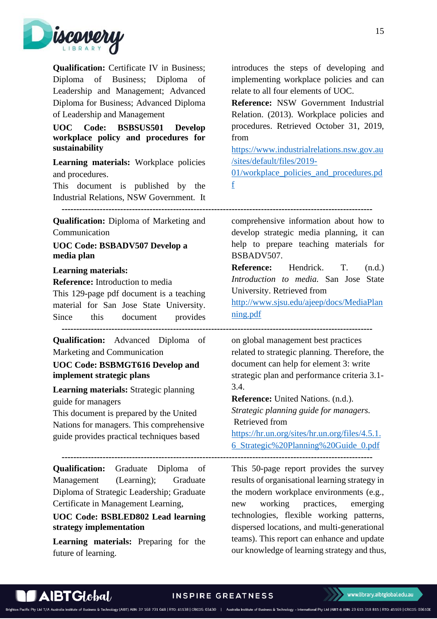

**Qualification:** Certificate IV in Business; Diploma of Business; Diploma of Leadership and Management; Advanced Diploma for Business; Advanced Diploma of Leadership and Management

<span id="page-14-0"></span>**UOC Code: BSBSUS501 Develop workplace policy and procedures for sustainability**

**Learning materials:** Workplace policies and procedures.

This document is published by the Industrial Relations, NSW Government. It

**Qualification:** Diploma of Marketing and Communication

<span id="page-14-1"></span>**UOC Code: BSBADV507 Develop a media plan**

#### **Learning materials:**

**Reference:** Introduction to media This 129-page pdf document is a teaching material for San Jose State University. Since this document provides  **----------------------------------------------------------------------------------------------------------**

**Qualification:** Advanced Diploma of Marketing and Communication

### <span id="page-14-2"></span>**UOC Code: BSBMGT616 Develop and implement strategic plans**

**Learning materials:** Strategic planning guide for managers

This document is prepared by the United Nations for managers. This comprehensive guide provides practical techniques based

**Qualification:** Graduate Diploma of Management (Learning); Graduate Diploma of Strategic Leadership; Graduate Certificate in Management Learning,

### <span id="page-14-3"></span>**UOC Code: BSBLED802 Lead learning strategy implementation**

**Learning materials:** Preparing for the future of learning.

introduces the steps of developing and implementing workplace policies and can relate to all four elements of UOC.

**Reference:** NSW Government Industrial Relation. (2013). Workplace policies and procedures. Retrieved October 31, 2019, from

[https://www.industrialrelations.nsw.gov.au](https://www.industrialrelations.nsw.gov.au/sites/default/files/2019-01/workplace_policies_and_procedures.pdf) [/sites/default/files/2019-](https://www.industrialrelations.nsw.gov.au/sites/default/files/2019-01/workplace_policies_and_procedures.pdf)

[01/workplace\\_policies\\_and\\_procedures.pd](https://www.industrialrelations.nsw.gov.au/sites/default/files/2019-01/workplace_policies_and_procedures.pdf) [f](https://www.industrialrelations.nsw.gov.au/sites/default/files/2019-01/workplace_policies_and_procedures.pdf)

 **----------------------------------------------------------------------------------------------------------**

comprehensive information about how to develop strategic media planning, it can help to prepare teaching materials for BSBADV507.

**Reference:** Hendrick. T. (n.d.) *Introduction to media.* San Jose State University. Retrieved from

[http://www.sjsu.edu/ajeep/docs/MediaPlan](http://www.sjsu.edu/ajeep/docs/MediaPlanning.pdf) [ning.pdf](http://www.sjsu.edu/ajeep/docs/MediaPlanning.pdf)

on global management best practices related to strategic planning. Therefore, the document can help for element 3: write strategic plan and performance criteria 3.1- 3.4.

**Reference:** United Nations. (n.d.). *Strategic planning guide for managers.*  Retrieved from [https://hr.un.org/sites/hr.un.org/files/4.5.1.](https://hr.un.org/sites/hr.un.org/files/4.5.1.6_Strategic%20Planning%20Guide_0.pdf)

[6\\_Strategic%20Planning%20Guide\\_0.pdf](https://hr.un.org/sites/hr.un.org/files/4.5.1.6_Strategic%20Planning%20Guide_0.pdf)  **----------------------------------------------------------------------------------------------------------**

> This 50-page report provides the survey results of organisational learning strategy in the modern workplace environments (e.g., new working practices, emerging technologies, flexible working patterns, dispersed locations, and multi-generational teams). This report can enhance and update our knowledge of learning strategy and thus,

 $\mathbf A$ IBT $\mathbf G$ I $\mathbf A$ o $\mathbf b$ al $\mathbf A$ 

& Technology (AIBT) ABN: 37 168 731 048 | RTO: 41138 | CRICOS: 03430 | Australia Institute of Business & Technology - International Pty Ltd (AIBT-I) ABN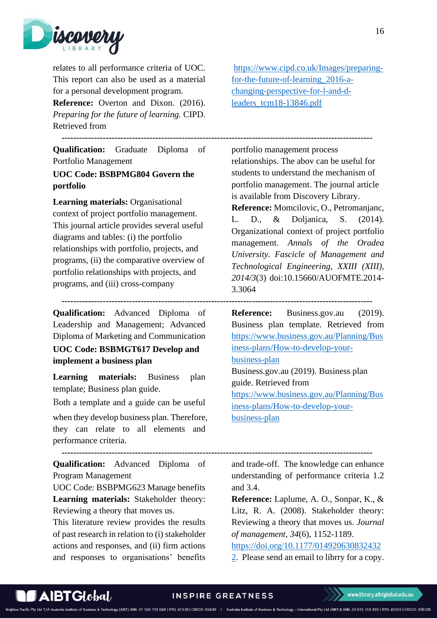

relates to all performance criteria of UOC. This report can also be used as a material for a personal development program. **Reference:** Overton and Dixon. (2016). *Preparing for the future of learning.* CIPD.

Retrieved from

**Qualification:** Graduate Diploma of Portfolio Management

### <span id="page-15-0"></span>**UOC Code: BSBPMG804 Govern the portfolio**

**Learning materials:** Organisational context of project portfolio management. This journal article provides several useful diagrams and tables: (i) the portfolio relationships with portfolio, projects, and programs, (ii) the comparative overview of portfolio relationships with projects, and programs, and (iii) cross-company

 **----------------------------------------------------------------------------------------------------------**

 **----------------------------------------------------------------------------------------------------------**

**Qualification:** Advanced Diploma of Leadership and Management; Advanced Diploma of Marketing and Communication **UOC Code: BSBMGT617 Develop and implement a business plan**

<span id="page-15-1"></span>**Learning materials:** Business plan template; Business plan guide.

Both a template and a guide can be useful when they develop business plan. Therefore, they can relate to all elements and performance criteria.

 **---------------------------------------------------------------------------------------------------------- Qualification:** Advanced Diploma of Program Management

UOC Code: BSBPMG623 Manage benefits **Learning materials:** Stakeholder theory: Reviewing a theory that moves us.

This literature review provides the results of past research in relation to (i) stakeholder actions and responses, and (ii) firm actions and responses to organisations' benefits

[https://www.cipd.co.uk/Images/preparing](https://www.cipd.co.uk/Images/preparing-for-the-future-of-learning_2016-a-changing-perspective-for-l-and-d-leaders_tcm18-13846.pdf)[for-the-future-of-learning\\_2016-a](https://www.cipd.co.uk/Images/preparing-for-the-future-of-learning_2016-a-changing-perspective-for-l-and-d-leaders_tcm18-13846.pdf)[changing-perspective-for-l-and-d](https://www.cipd.co.uk/Images/preparing-for-the-future-of-learning_2016-a-changing-perspective-for-l-and-d-leaders_tcm18-13846.pdf)[leaders\\_tcm18-13846.pdf](https://www.cipd.co.uk/Images/preparing-for-the-future-of-learning_2016-a-changing-perspective-for-l-and-d-leaders_tcm18-13846.pdf)

portfolio management process relationships. The abov can be useful for students to understand the mechanism of portfolio management. The journal article is available from Discovery Library.

**Reference:** Momcilovic, O., Petromanjanc, L. D., & Doljanica, S. (2014). Organizational context of project portfolio management. *Annals of the Oradea University. Fascicle of Management and Technological Engineering, XXIII (XIII), 2014/3*(3) doi:10.15660/AUOFMTE.2014- 3.3064

**Reference:** Business.gov.au (2019). Business plan template. Retrieved from [https://www.business.gov.au/Planning/Bus](https://www.business.gov.au/Planning/Business-plans/How-to-develop-your-business-plan) [iness-plans/How-to-develop-your](https://www.business.gov.au/Planning/Business-plans/How-to-develop-your-business-plan)[business-plan](https://www.business.gov.au/Planning/Business-plans/How-to-develop-your-business-plan) Business.gov.au (2019). Business plan guide. Retrieved from [https://www.business.gov.au/Planning/Bus](https://www.business.gov.au/Planning/Business-plans/How-to-develop-your-business-plan) [iness-plans/How-to-develop-your](https://www.business.gov.au/Planning/Business-plans/How-to-develop-your-business-plan)[business-plan](https://www.business.gov.au/Planning/Business-plans/How-to-develop-your-business-plan)

and trade-off. The knowledge can enhance understanding of performance criteria 1.2 and 3.4.

**Reference:** Laplume, A. O., Sonpar, K., & Litz, R. A. (2008). Stakeholder theory: Reviewing a theory that moves us. *Journal of management, 34*(6), 1152-1189.

[https://doi.org/10.1177/014920630832432](https://doi.org/10.1177/0149206308324322)

[2.](https://doi.org/10.1177/0149206308324322) Please send an email to librry for a copy.

& Technology (AIBT) ABN: 37 168 731 048 | RTO: 41138 | CRICOS: 03430 | Australia Institute of Business & Technology - International Pty Ltd (AIBT-I) ABN: 23 615 318 815 | RTO: 45169 | CRICOS: 03610E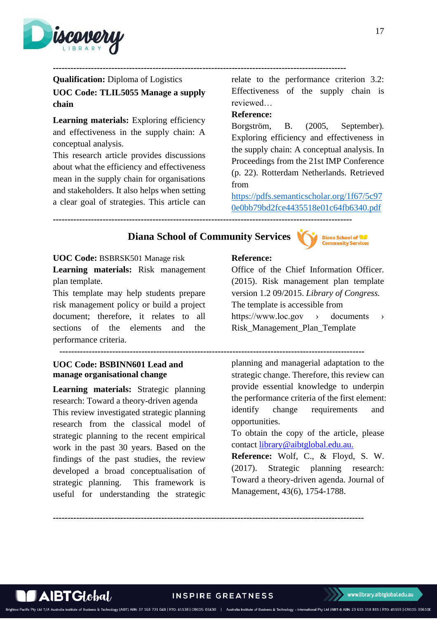

**----------------------------------------------------------------------------------------------------**

<span id="page-16-0"></span>**Qualification:** Diploma of Logistics **UOC Code: TLIL5055 Manage a supply chain**

**Learning materials:** Exploring efficiency and effectiveness in the supply chain: A conceptual analysis.

This research article provides discussions about what the efficiency and effectiveness mean in the supply chain for organisations and stakeholders. It also helps when setting a clear goal of strategies. This article can

relate to the performance criterion 3.2: Effectiveness of the supply chain is reviewed…

### **Reference:**

Borgström, B. (2005, September). Exploring efficiency and effectiveness in the supply chain: A conceptual analysis. In Proceedings from the 21st IMP Conference (p. 22). Rotterdam Netherlands. Retrieved from

[https://pdfs.semanticscholar.org/1f67/5c97](https://pdfs.semanticscholar.org/1f67/5c970e0bb79bd2fce4435518e01c64fb6340.pdf) [0e0bb79bd2fce4435518e01c64fb6340.pdf](https://pdfs.semanticscholar.org/1f67/5c970e0bb79bd2fce4435518e01c64fb6340.pdf)

**------------------------------------------------------------------------------------------------------**

# **Diana School of Community Services**



**UOC Code:** BSBRSK501 Manage risk

**Learning materials:** Risk management plan template.

This template may help students prepare risk management policy or build a project document; therefore, it relates to all sections of the elements and the performance criteria.

<span id="page-16-1"></span> **-------------------------------------------------------------------------------------------------------- UOC Code: BSBINN601 Lead and** 

# **manage organisational change**

AIBTGlobal/

**Learning materials:** Strategic planning research: Toward a theory-driven agenda This review investigated strategic planning research from the classical model of strategic planning to the recent empirical work in the past 30 years. Based on the findings of the past studies, the review developed a broad conceptualisation of strategic planning. This framework is useful for understanding the strategic

### **Reference:**



Office of the Chief Information Officer. (2015). Risk management plan template version 1.2 09/2015. *Library of Congress.*  The template is accessible from https://www.loc.gov > documents > Risk\_Management\_Plan\_Template

planning and managerial adaptation to the strategic change. Therefore, this review can provide essential knowledge to underpin the performance criteria of the first element: identify change requirements and opportunities.

To obtain the copy of the article, please contact [library@aibtglobal.edu.au.](mailto:library@aibtglobal.edu.au)

**Reference:** Wolf, C., & Floyd, S. W. (2017). Strategic planning research: Toward a theory-driven agenda. Journal of Management, 43(6), 1754-1788.

**----------------------------------------------------------------------------------------------------------**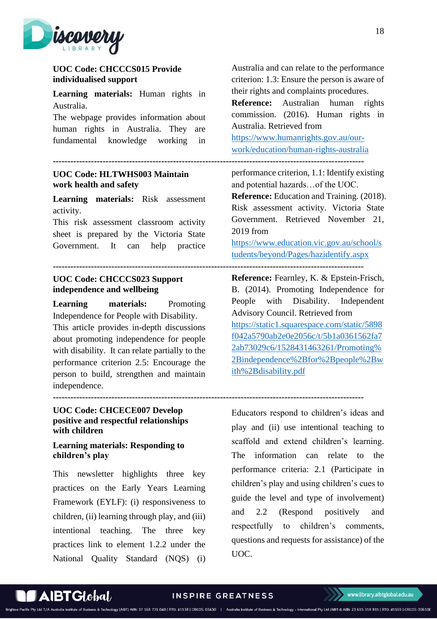

### <span id="page-17-0"></span>**UOC Code: CHCCCS015 Provide individualised support**

**Learning materials:** Human rights in Australia.

The webpage provides information about human rights in Australia. They are fundamental knowledge working in

### <span id="page-17-1"></span>**UOC Code: HLTWHS003 Maintain work health and safety**

**Learning materials:** Risk assessment activity.

This risk assessment classroom activity sheet is prepared by the Victoria State Government. It can help practice

# <span id="page-17-2"></span>**---------------------------------------------------------------------------------------------------------- UOC Code: CHCCCS023 Support**

### **independence and wellbeing**

**Learning materials:** Promoting Independence for People with Disability. This article provides in-depth discussions about promoting independence for people with disability. It can relate partially to the performance criterion 2.5: Encourage the person to build, strengthen and maintain independence.

### <span id="page-17-3"></span>**UOC Code: CHCECE007 Develop positive and respectful relationships with children**

### <span id="page-17-4"></span>**Learning materials: Responding to children's play**

This newsletter highlights three key practices on the Early Years Learning Framework (EYLF): (i) responsiveness to children, (ii) learning through play, and (iii) intentional teaching. The three key practices link to element 1.2.2 under the National Quality Standard (NQS) (i) Australia and can relate to the performance criterion: 1.3: Ensure the person is aware of their rights and complaints procedures.

**Reference:** Australian human rights commission. (2016). Human rights in Australia. Retrieved from

[https://www.humanrights.gov.au/our](https://www.humanrights.gov.au/our-work/education/human-rights-australia)[work/education/human-rights-australia](https://www.humanrights.gov.au/our-work/education/human-rights-australia)

**----------------------------------------------------------------------------------------------------------**

performance criterion, 1.1: Identify existing and potential hazards…of the UOC.

**Reference:** Education and Training. (2018). Risk assessment activity. Victoria State Government. Retrieved November 21, 2019 from

[https://www.education.vic.gov.au/school/s](https://www.education.vic.gov.au/school/students/beyond/Pages/hazidentify.aspx) [tudents/beyond/Pages/hazidentify.aspx](https://www.education.vic.gov.au/school/students/beyond/Pages/hazidentify.aspx)

**Reference:** Fearnley, K. & Epstein-Frisch, B. (2014). Promoting Independence for People with Disability. Independent Advisory Council. Retrieved from [https://static1.squarespace.com/static/5898](https://static1.squarespace.com/static/5898f042a5790ab2e0e2056c/t/5b1a0361562fa72ab73029c6/1528431463261/Promoting%2Bindependence%2Bfor%2Bpeople%2Bwith%2Bdisability.pdf) [f042a5790ab2e0e2056c/t/5b1a0361562fa7](https://static1.squarespace.com/static/5898f042a5790ab2e0e2056c/t/5b1a0361562fa72ab73029c6/1528431463261/Promoting%2Bindependence%2Bfor%2Bpeople%2Bwith%2Bdisability.pdf) [2ab73029c6/1528431463261/Promoting%](https://static1.squarespace.com/static/5898f042a5790ab2e0e2056c/t/5b1a0361562fa72ab73029c6/1528431463261/Promoting%2Bindependence%2Bfor%2Bpeople%2Bwith%2Bdisability.pdf) [2Bindependence%2Bfor%2Bpeople%2Bw](https://static1.squarespace.com/static/5898f042a5790ab2e0e2056c/t/5b1a0361562fa72ab73029c6/1528431463261/Promoting%2Bindependence%2Bfor%2Bpeople%2Bwith%2Bdisability.pdf) [ith%2Bdisability.pdf](https://static1.squarespace.com/static/5898f042a5790ab2e0e2056c/t/5b1a0361562fa72ab73029c6/1528431463261/Promoting%2Bindependence%2Bfor%2Bpeople%2Bwith%2Bdisability.pdf)

**----------------------------------------------------------------------------------------------------------**

Educators respond to children's ideas and play and (ii) use intentional teaching to scaffold and extend children's learning. The information can relate to the performance criteria: 2.1 (Participate in children's play and using children's cues to guide the level and type of involvement) and 2.2 (Respond positively and respectfully to children's comments, questions and requests for assistance) of the UOC.

# AIBTGlobal/

#### INSPIRE GREATNESS

S & Technology (AIBT) ABN: 37 168 731 048 | RTO: 41138 | CRICOS: 03430 | Australia Institute of Business & Technology - International Pty Ltd (AIBT-I) ABN: 23 615 318 815 | RTO: 45169 | CRICOS: 03610E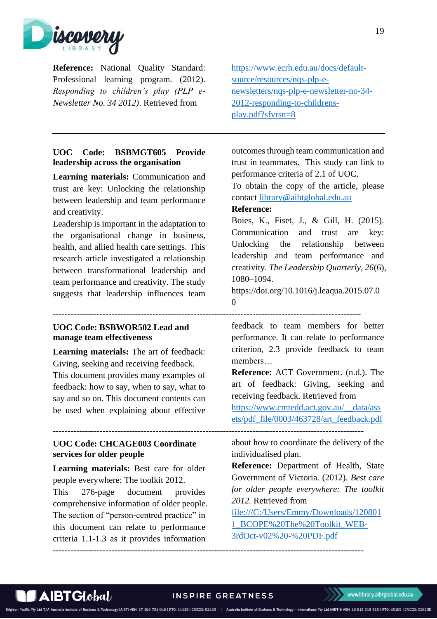

**Reference:** National Quality Standard: Professional learning program. (2012). *Responding to children's play (PLP e-Newsletter No. 34 2012)*. Retrieved from

### <span id="page-18-0"></span>**UOC Code: BSBMGT605 Provide leadership across the organisation**

**Learning materials:** Communication and trust are key: Unlocking the relationship between leadership and team performance and creativity.

Leadership is important in the adaptation to the organisational change in business, health, and allied health care settings. This research article investigated a relationship between transformational leadership and team performance and creativity. The study suggests that leadership influences team

### <span id="page-18-1"></span>**UOC Code: BSBWOR502 Lead and manage team effectiveness**

**Learning materials:** The art of feedback: Giving, seeking and receiving feedback. This document provides many examples of feedback: how to say, when to say, what to say and so on. This document contents can be used when explaining about effective

### <span id="page-18-2"></span>**UOC Code: CHCAGE003 Coordinate services for older people**

**Learning materials:** Best care for older people everywhere: The toolkit 2012. This 276-page document provides comprehensive information of older people. The section of "person-centred practice" in

this document can relate to performance criteria 1.1-1.3 as it provides information [https://www.ecrh.edu.au/docs/default](https://www.ecrh.edu.au/docs/default-source/resources/nqs-plp-e-newsletters/nqs-plp-e-newsletter-no-34-2012-responding-to-childrens-play.pdf?sfvrsn=8)[source/resources/nqs-plp-e](https://www.ecrh.edu.au/docs/default-source/resources/nqs-plp-e-newsletters/nqs-plp-e-newsletter-no-34-2012-responding-to-childrens-play.pdf?sfvrsn=8)[newsletters/nqs-plp-e-newsletter-no-34-](https://www.ecrh.edu.au/docs/default-source/resources/nqs-plp-e-newsletters/nqs-plp-e-newsletter-no-34-2012-responding-to-childrens-play.pdf?sfvrsn=8) [2012-responding-to-childrens](https://www.ecrh.edu.au/docs/default-source/resources/nqs-plp-e-newsletters/nqs-plp-e-newsletter-no-34-2012-responding-to-childrens-play.pdf?sfvrsn=8)[play.pdf?sfvrsn=8](https://www.ecrh.edu.au/docs/default-source/resources/nqs-plp-e-newsletters/nqs-plp-e-newsletter-no-34-2012-responding-to-childrens-play.pdf?sfvrsn=8)

outcomes through team communication and trust in teammates. This study can link to performance criteria of 2.1 of UOC.

To obtain the copy of the article, please contact [library@aibtglobal.edu.au](mailto:library@aibtglobal.edu.au)

### **Reference:**

Boies, K., Fiset, J., & Gill, H. (2015). Communication and trust are key: Unlocking the relationship between leadership and team performance and creativity. *The Leadership Quarterly, 26*(6), 1080–1094.

https://doi.org/10.1016/j.leaqua.2015.07.0 0

feedback to team members for better performance. It can relate to performance criterion, 2.3 provide feedback to team members…

**Reference:** ACT Government. (n.d.). The art of feedback: Giving, seeking and receiving feedback. Retrieved from

[https://www.cmtedd.act.gov.au/\\_\\_data/ass](https://www.cmtedd.act.gov.au/__data/assets/pdf_file/0003/463728/art_feedback.pdf) [ets/pdf\\_file/0003/463728/art\\_feedback.pdf](https://www.cmtedd.act.gov.au/__data/assets/pdf_file/0003/463728/art_feedback.pdf)

**----------------------------------------------------------------------------------------------------------**

about how to coordinate the delivery of the individualised plan.

**Reference:** Department of Health, State Government of Victoria. (2012). *Best care for older people everywhere: The toolkit 2012.* Retrieved from

[file:///C:/Users/Emmy/Downloads/120801](file:///C:/Users/Emmy/Downloads/1208011_BCOPE%20The%20Toolkit_WEB-3rdOct-v02%20-%20PDF.pdf) [1\\_BCOPE%20The%20Toolkit\\_WEB-](file:///C:/Users/Emmy/Downloads/1208011_BCOPE%20The%20Toolkit_WEB-3rdOct-v02%20-%20PDF.pdf)[3rdOct-v02%20-%20PDF.pdf](file:///C:/Users/Emmy/Downloads/1208011_BCOPE%20The%20Toolkit_WEB-3rdOct-v02%20-%20PDF.pdf)



**---------------------------------------------------------------------------------------------------------**

 $\blacktriangle$ IBT $G$ I $\mathit{obal}$ 

#### INSPIRE GREATNESS

#### www.library.aibtglobal.edu.au

S & Technology (AIBT) ABN: 37 168 731 048 | RTO: 41138 | CRICOS: 03430 | Australia Institute of Business & Technology - International Pty Ltd (AIBT-I) ABN: 23 615 318 815 | RTO: 45169 | CRICOS: 03610E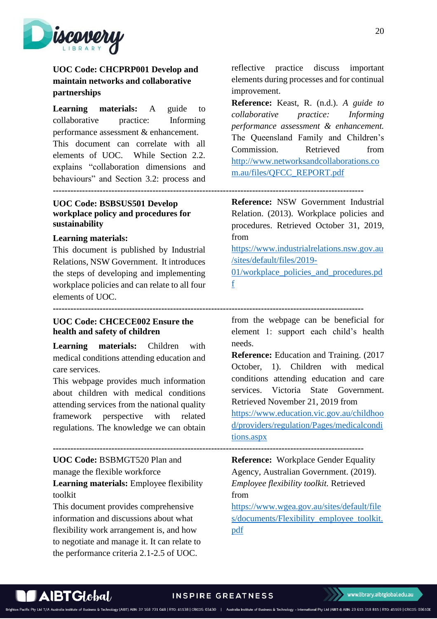

# <span id="page-19-0"></span>**UOC Code: CHCPRP001 Develop and maintain networks and collaborative partnerships**

**Learning materials:** A guide to collaborative practice: Informing performance assessment & enhancement. This document can correlate with all elements of UOC. While Section 2.2. explains "collaboration dimensions and behaviours" and Section 3.2: process and

### <span id="page-19-1"></span>**UOC Code: BSBSUS501 Develop workplace policy and procedures for sustainability**

#### **Learning materials:**

This document is published by Industrial Relations, NSW Government. It introduces the steps of developing and implementing workplace policies and can relate to all four elements of UOC.

<span id="page-19-2"></span>**UOC Code: CHCECE002 Ensure the** 

# **health and safety of children**

**Learning materials:** Children with medical conditions attending education and care services.

This webpage provides much information about children with medical conditions attending services from the national quality framework perspective with related regulations. The knowledge we can obtain

**UOC Code:** BSBMGT520 Plan and manage the flexible workforce **Learning materials:** Employee flexibility toolkit

This document provides comprehensive information and discussions about what flexibility work arrangement is, and how to negotiate and manage it. It can relate to the performance criteria 2.1-2.5 of UOC.

reflective practice discuss important elements during processes and for continual improvement.

**Reference:** Keast, R. (n.d.). *A guide to collaborative practice: Informing performance assessment & enhancement.*  The Queensland Family and Children's Commission. Retrieved from [http://www.networksandcollaborations.co](http://www.networksandcollaborations.com.au/files/QFCC_REPORT.pdf) [m.au/files/QFCC\\_REPORT.pdf](http://www.networksandcollaborations.com.au/files/QFCC_REPORT.pdf)

#### **----------------------------------------------------------------------------------------------------------**

**Reference:** NSW Government Industrial Relation. (2013). Workplace policies and procedures. Retrieved October 31, 2019, from

[https://www.industrialrelations.nsw.gov.au](https://www.industrialrelations.nsw.gov.au/sites/default/files/2019-01/workplace_policies_and_procedures.pdf) [/sites/default/files/2019-](https://www.industrialrelations.nsw.gov.au/sites/default/files/2019-01/workplace_policies_and_procedures.pdf)

[01/workplace\\_policies\\_and\\_procedures.pd](https://www.industrialrelations.nsw.gov.au/sites/default/files/2019-01/workplace_policies_and_procedures.pdf) [f](https://www.industrialrelations.nsw.gov.au/sites/default/files/2019-01/workplace_policies_and_procedures.pdf)

**----------------------------------------------------------------------------------------------------------**

from the webpage can be beneficial for element 1: support each child's health needs.

**Reference:** Education and Training. (2017 October, 1). Children with medical conditions attending education and care services. Victoria State Government. Retrieved November 21, 2019 from

[https://www.education.vic.gov.au/childhoo](https://www.education.vic.gov.au/childhood/providers/regulation/Pages/medicalconditions.aspx) [d/providers/regulation/Pages/medicalcondi](https://www.education.vic.gov.au/childhood/providers/regulation/Pages/medicalconditions.aspx) [tions.aspx](https://www.education.vic.gov.au/childhood/providers/regulation/Pages/medicalconditions.aspx)

**----------------------------------------------------------------------------------------------------------**

**Reference:** Workplace Gender Equality Agency, Australian Government. (2019). *Employee flexibility toolkit.* Retrieved from

[https://www.wgea.gov.au/sites/default/file](https://www.wgea.gov.au/sites/default/files/documents/Flexibility_employee_toolkit.pdf) [s/documents/Flexibility\\_employee\\_toolkit.](https://www.wgea.gov.au/sites/default/files/documents/Flexibility_employee_toolkit.pdf) [pdf](https://www.wgea.gov.au/sites/default/files/documents/Flexibility_employee_toolkit.pdf)



#### **INSPIRE GREATNESS**

ss & Technology (AIBT) ABN: 37 168 731 048 | RTO: 41138 | CRICOS: 03430 | Australia Institute of Business & Technology - International Pty Ltd (AIBT-I) ABN: 23 615 318 815 | RTO: 45169 | CRICOS: 03610E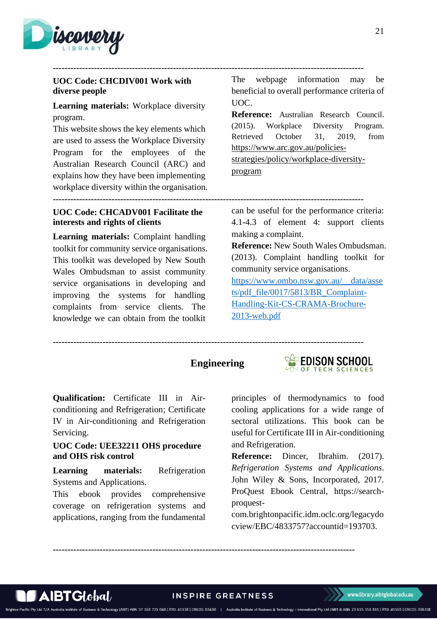

### <span id="page-20-0"></span>**UOC Code: CHCDIV001 Work with diverse people**

**Learning materials:** Workplace diversity program.

This website shows the key elements which are used to assess the Workplace Diversity Program for the employees of the Australian Research Council (ARC) and explains how they have been implementing workplace diversity within the organisation.

<span id="page-20-1"></span>**UOC Code: CHCADV001 Facilitate the interests and rights of clients**

**Learning materials:** Complaint handling toolkit for community service organisations. This toolkit was developed by New South Wales Ombudsman to assist community service organisations in developing and improving the systems for handling complaints from service clients. The knowledge we can obtain from the toolkit

The webpage information may be beneficial to overall performance criteria of UOC.

**Reference:** Australian Research Council. (2015). Workplace Diversity Program. Retrieved October 31, 2019, from h[ttps://www.arc.gov.au/policies-](https://www.arc.gov.au/policies-strategies/policy/workplace-diversity-program)

[strategies/policy/workplace-diversity](https://www.arc.gov.au/policies-strategies/policy/workplace-diversity-program)[program](https://www.arc.gov.au/policies-strategies/policy/workplace-diversity-program)

can be useful for the performance criteria: 4.1-4.3 of element 4: support clients making a complaint.

**Reference:** New South Wales Ombudsman. (2013). Complaint handling toolkit for community service organisations.

[https://www.ombo.nsw.gov.au/\\_\\_data/asse](https://www.ombo.nsw.gov.au/__data/assets/pdf_file/0017/5813/BR_Complaint-Handling-Kit-CS-CRAMA-Brochure-2013-web.pdf) [ts/pdf\\_file/0017/5813/BR\\_Complaint-](https://www.ombo.nsw.gov.au/__data/assets/pdf_file/0017/5813/BR_Complaint-Handling-Kit-CS-CRAMA-Brochure-2013-web.pdf)[Handling-Kit-CS-CRAMA-Brochure-](https://www.ombo.nsw.gov.au/__data/assets/pdf_file/0017/5813/BR_Complaint-Handling-Kit-CS-CRAMA-Brochure-2013-web.pdf)[2013-web.pdf](https://www.ombo.nsw.gov.au/__data/assets/pdf_file/0017/5813/BR_Complaint-Handling-Kit-CS-CRAMA-Brochure-2013-web.pdf)

**----------------------------------------------------------------------------------------------------------**

**----------------------------------------------------------------------------------------------------------**

**----------------------------------------------------------------------------------------------------------**

# **Engineering**



**Qualification:** Certificate III in Airconditioning and Refrigeration; Certificate IV in Air-conditioning and Refrigeration Servicing.

### <span id="page-20-2"></span>**UOC Code: UEE32211 OHS procedure and OHS risk control**

**Learning materials:** Refrigeration Systems and Applications.

This ebook provides comprehensive coverage on refrigeration systems and applications, ranging from the fundamental principles of thermodynamics to food cooling applications for a wide range of sectoral utilizations. This book can be useful for Certificate III in Air-conditioning and Refrigeration.

**Reference:** Dincer, Ibrahim. (2017). *Refrigeration Systems and Applications*. John Wiley & Sons, Incorporated, 2017. ProQuest Ebook Central, https://searchproquest-

com.brightonpacific.idm.oclc.org/legacydo cview/EBC/4833757?accountid=193703.

**INSPIRE GREATNESS** 

**-------------------------------------------------------------------------------------------------------**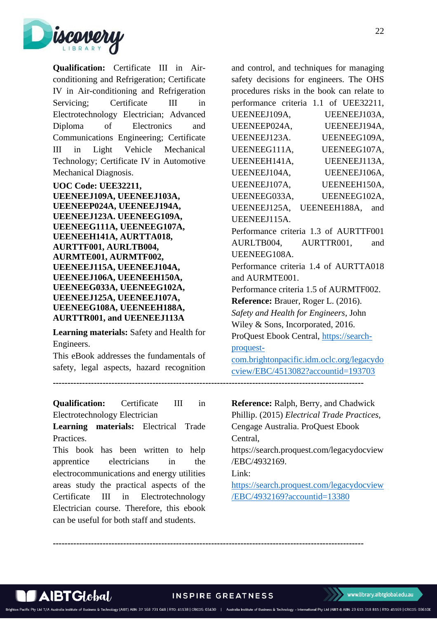

**Qualification:** Certificate III in Airconditioning and Refrigeration; Certificate IV in Air-conditioning and Refrigeration Servicing: Certificate III in Electrotechnology Electrician; Advanced Diploma of Electronics and Communications Engineering; Certificate III in Light Vehicle Mechanical Technology; Certificate IV in Automotive Mechanical Diagnosis.

<span id="page-21-0"></span>**UOC Code: UEE32211, UEENEEJ109A, UEENEEJ103A, UEENEEP024A, UEENEEJ194A, UEENEEJ123A. UEENEEG109A, UEENEEG111A, UEENEEG107A, UEENEEH141A, AURTTA018, AURTTF001, AURLTB004, AURMTE001, AURMTF002, UEENEEJ115A, UEENEEJ104A, UEENEEJ106A, UEENEEH150A, UEENEEG033A, UEENEEG102A, UEENEEJ125A, UEENEEJ107A, UEENEEG108A, UEENEEH188A, AURTTR001, and UEENEEJ113A**

**Learning materials:** Safety and Health for Engineers.

This eBook addresses the fundamentals of safety, legal aspects, hazard recognition

**Qualification:** Certificate III in Electrotechnology Electrician

**Learning materials:** Electrical Trade Practices.

This book has been written to help apprentice electricians in the electrocommunications and energy utilities areas study the practical aspects of the Certificate III in Electrotechnology Electrician course. Therefore, this ebook can be useful for both staff and students.

and control, and techniques for managing safety decisions for engineers. The OHS procedures risks in the book can relate to performance criteria 1.1 of UEE32211, UEENEEJ109A, UEENEEJ103A, UEENEEP024A, UEENEEJ194A, UEENEEJ123A. UEENEEG109A, UEENEEG111A, UEENEEG107A, UEENEEH141A, UEENEEJ113A, UEENEEJ104A, UEENEEJ106A, UEENEEJ107A, UEENEEH150A, UEENEEG033A, UEENEEG102A, UEENEEJ125A, UEENEEH188A, and UEENEEJ115A. Performance criteria 1.3 of AURTTF001 AURLTB004, AURTTR001, and UEENEEG108A. Performance criteria 1.4 of AURTTA018 and AURMTE001. Performance criteria 1.5 of AURMTF002. **Reference:** Brauer, Roger L. (2016). *Safety and Health for Engineers*, John Wiley & Sons, Incorporated, 2016. ProQuest Ebook Central, [https://search](https://search-proquest-com.brightonpacific.idm.oclc.org/legacydocview/EBC/4513082?accountid=193703)[proquest](https://search-proquest-com.brightonpacific.idm.oclc.org/legacydocview/EBC/4513082?accountid=193703)[com.brightonpacific.idm.oclc.org/legacydo](https://search-proquest-com.brightonpacific.idm.oclc.org/legacydocview/EBC/4513082?accountid=193703) [cview/EBC/4513082?accountid=193703](https://search-proquest-com.brightonpacific.idm.oclc.org/legacydocview/EBC/4513082?accountid=193703) **---------------------------------------------------------------------------------------------------------- Reference:** Ralph, Berry, and Chadwick Phillip. (2015) *Electrical Trade Practices,* Cengage Australia. ProQuest Ebook Central, https://search.proquest.com/legacydocview /EBC/4932169.

Link:

[https://search.proquest.com/legacydocview](https://search.proquest.com/legacydocview/EBC/4932169?accountid=13380) [/EBC/4932169?accountid=13380](https://search.proquest.com/legacydocview/EBC/4932169?accountid=13380)

**----------------------------------------------------------------------------------------------------------**

Brighton Pacific Pty Ltd T/A A

**INSPIRE GREATNESS** 

s & Technology (AIBT) ABN: 37 168 731 048 | RTO: 41138 | CRICOS: 03430 | Australia Institute of Business & Technology - International Pty Ltd (AIBT-I) ABN: 23 615 318 815 | RTO: 45169 | CRICOS: 03610E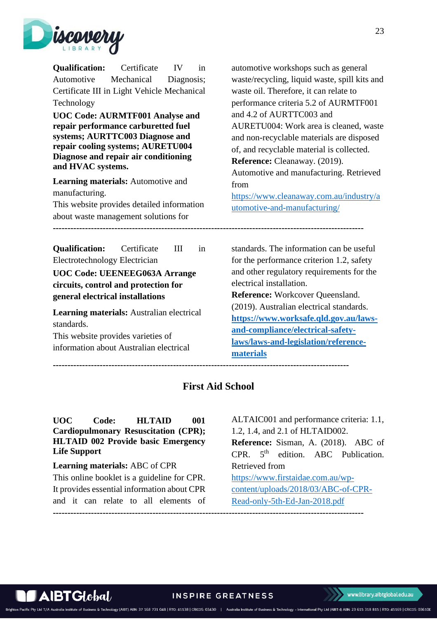

<span id="page-22-0"></span>

| Certificate<br><b>Qualification:</b><br>IV<br>in<br>Mechanical<br>Automotive<br>Diagnosis;<br>Certificate III in Light Vehicle Mechanical<br>Technology<br>UOC Code: AURMTF001 Analyse and<br>repair performance carburetted fuel<br>systems; AURTTC003 Diagnose and<br>repair cooling systems; AURETU004<br>Diagnose and repair air conditioning<br>and HVAC systems.<br><b>Learning materials:</b> Automotive and<br>manufacturing.<br>This website provides detailed information<br>about waste management solutions for | automotive workshops such as general<br>waste/recycling, liquid waste, spill kits and<br>waste oil. Therefore, it can relate to<br>performance criteria 5.2 of AURMTF001<br>and 4.2 of AURTTC003 and<br>AURETU004: Work area is cleaned, waste<br>and non-recyclable materials are disposed<br>of, and recyclable material is collected.<br>Reference: Cleanaway. (2019).<br>Automotive and manufacturing. Retrieved<br>from<br>https://www.cleanaway.com.au/industry/a<br>utomotive-and-manufacturing/ |
|-----------------------------------------------------------------------------------------------------------------------------------------------------------------------------------------------------------------------------------------------------------------------------------------------------------------------------------------------------------------------------------------------------------------------------------------------------------------------------------------------------------------------------|---------------------------------------------------------------------------------------------------------------------------------------------------------------------------------------------------------------------------------------------------------------------------------------------------------------------------------------------------------------------------------------------------------------------------------------------------------------------------------------------------------|
| <b>Qualification:</b><br>Certificate<br>Ш<br>in<br>Electrotechnology Electrician<br>UOC Code: UEENEEG063A Arrange<br>circuits, control and protection for<br>general electrical installations<br>Learning materials: Australian electrical<br>standards.<br>This website provides varieties of<br>information about Australian electrical                                                                                                                                                                                   | standards. The information can be useful<br>for the performance criterion 1.2, safety<br>and other regulatory requirements for the<br>electrical installation.<br>Reference: Workcover Queensland.<br>(2019). Australian electrical standards.<br>https://www.worksafe.qld.gov.au/laws-<br>and-compliance/electrical-safety-<br>laws/laws-and-legislation/reference-<br>materials                                                                                                                       |

**First Aid School**

<span id="page-22-1"></span>**-----------------------------------------------------------------------------------------------------**

### <span id="page-22-2"></span>**UOC Code: HLTAID 001 Cardiopulmonary Resuscitation (CPR); HLTAID 002 Provide basic Emergency Life Support**

### **Learning materials:** ABC of CPR This online booklet is a guideline for CPR. It provides essential information about CPR and it can relate to all elements of **----------------------------------------------------------------------------------------------------------**

 $\mathbf A$ IBT $\mathbf G$ lobal $\ell$ 

ALTAIC001 and performance criteria: 1.1, 1.2, 1.4, and 2.1 of HLTAID002. **Reference:** Sisman, A. (2018). ABC of CPR.  $5<sup>th</sup>$  edition. ABC Publication. Retrieved from [https://www.firstaidae.com.au/wp](https://www.firstaidae.com.au/wp-content/uploads/2018/03/ABC-of-CPR-Read-only-5th-Ed-Jan-2018.pdf)[content/uploads/2018/03/ABC-of-CPR-](https://www.firstaidae.com.au/wp-content/uploads/2018/03/ABC-of-CPR-Read-only-5th-Ed-Jan-2018.pdf)[Read-only-5th-Ed-Jan-2018.pdf](https://www.firstaidae.com.au/wp-content/uploads/2018/03/ABC-of-CPR-Read-only-5th-Ed-Jan-2018.pdf)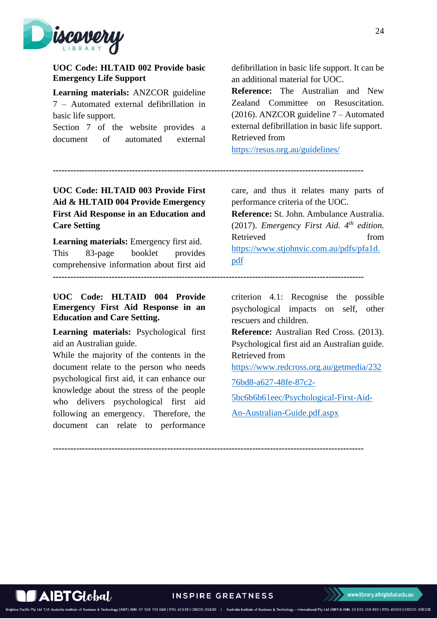

### <span id="page-23-0"></span>**UOC Code: HLTAID 002 Provide basic Emergency Life Support**

**Learning materials:** ANZCOR guideline 7 – Automated external defibrillation in basic life support.

Section 7 of the website provides a document of automated external defibrillation in basic life support. It can be an additional material for UOC.

**Reference:** The Australian and New Zealand Committee on Resuscitation. (2016). ANZCOR guideline 7 – Automated external defibrillation in basic life support. Retrieved from

<https://resus.org.au/guidelines/>

**----------------------------------------------------------------------------------------------------------**

**----------------------------------------------------------------------------------------------------------**

# <span id="page-23-1"></span>**UOC Code: HLTAID 003 Provide First Aid & HLTAID 004 Provide Emergency First Aid Response in an Education and Care Setting**

**Learning materials:** Emergency first aid. This 83-page booklet provides comprehensive information about first aid

<span id="page-23-2"></span>**UOC Code: HLTAID 004 Provide Emergency First Aid Response in an Education and Care Setting.** 

**Learning materials:** Psychological first aid an Australian guide.

While the majority of the contents in the document relate to the person who needs psychological first aid, it can enhance our knowledge about the stress of the people who delivers psychological first aid following an emergency. Therefore, the document can relate to performance care, and thus it relates many parts of performance criteria of the UOC.

**Reference:** St. John. Ambulance Australia. (2017). *Emergency First Aid. 4th edition.* Retrieved from [https://www.stjohnvic.com.au/pdfs/pfa1d.](https://www.stjohnvic.com.au/pdfs/pfa1d.pdf) [pdf](https://www.stjohnvic.com.au/pdfs/pfa1d.pdf)

criterion 4.1: Recognise the possible psychological impacts on self, other rescuers and children.

**Reference:** Australian Red Cross. (2013). Psychological first aid an Australian guide. Retrieved from

[https://www.redcross.org.au/getmedia/232](https://www.redcross.org.au/getmedia/23276bd8-a627-48fe-87c2-5bc6b6b61eec/Psychological-First-Aid-An-Australian-Guide.pdf.aspx)

[76bd8-a627-48fe-87c2-](https://www.redcross.org.au/getmedia/23276bd8-a627-48fe-87c2-5bc6b6b61eec/Psychological-First-Aid-An-Australian-Guide.pdf.aspx)

[5bc6b6b61eec/Psychological-First-Aid-](https://www.redcross.org.au/getmedia/23276bd8-a627-48fe-87c2-5bc6b6b61eec/Psychological-First-Aid-An-Australian-Guide.pdf.aspx)

[An-Australian-Guide.pdf.aspx](https://www.redcross.org.au/getmedia/23276bd8-a627-48fe-87c2-5bc6b6b61eec/Psychological-First-Aid-An-Australian-Guide.pdf.aspx)

**----------------------------------------------------------------------------------------------------------**

AIBTGlobal/

on Pacific Pty Ltd T/A A

**INSPIRE GREATNESS** 

Technology (AIBT) ABN: 37 168 731 048 | RTO: 41138 | CRICOS: 03430 | Australia Institute of Business & Technology - International Pty Ltd (AIBT-I) ABN: 23 615 318 815 | RTO: 45169 | CRICOS: 03610E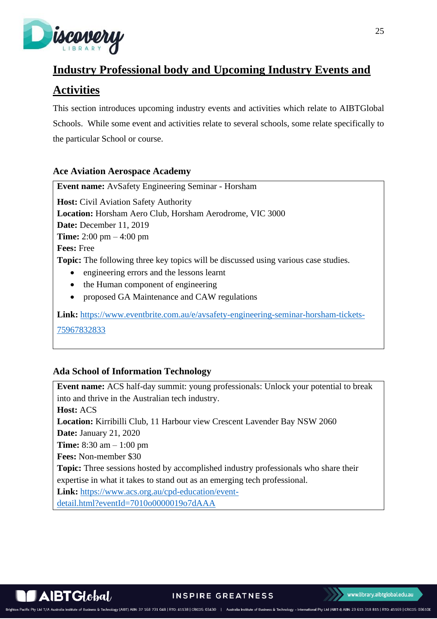

# <span id="page-24-0"></span>**Industry Professional body and Upcoming Industry Events and**

# **Activities**

This section introduces upcoming industry events and activities which relate to AIBTGlobal Schools. While some event and activities relate to several schools, some relate specifically to the particular School or course.

## <span id="page-24-1"></span>**Ace Aviation Aerospace Academy**

**Event name:** AvSafety Engineering Seminar - Horsham **Host:** Civil Aviation Safety Authority **Location:** Horsham Aero Club, Horsham Aerodrome, VIC 3000 **Date:** December 11, 2019 **Time:** 2:00 pm – 4:00 pm **Fees:** Free **Topic:** The following three key topics will be discussed using various case studies. • engineering errors and the lessons learnt • the Human component of engineering

• proposed GA Maintenance and CAW regulations

**Link:** [https://www.eventbrite.com.au/e/avsafety-engineering-seminar-horsham-tickets-](https://www.eventbrite.com.au/e/avsafety-engineering-seminar-horsham-tickets-75967832833)[75967832833](https://www.eventbrite.com.au/e/avsafety-engineering-seminar-horsham-tickets-75967832833)

## <span id="page-24-2"></span>**Ada School of Information Technology**

**Event name:** ACS half-day summit: young professionals: Unlock your potential to break into and thrive in the Australian tech industry. **Host:** ACS **Location:** Kirribilli Club, 11 Harbour view Crescent Lavender Bay NSW 2060 **Date:** January 21, 2020 **Time:** 8:30 am – 1:00 pm **Fees:** Non-member \$30 **Topic:** Three sessions hosted by accomplished industry professionals who share their expertise in what it takes to stand out as an emerging tech professional. **Link:** [https://www.acs.org.au/cpd-education/event](https://www.acs.org.au/cpd-education/event-detail.html?eventId=7010o0000019o7dAAA)[detail.html?eventId=7010o0000019o7dAAA](https://www.acs.org.au/cpd-education/event-detail.html?eventId=7010o0000019o7dAAA)



Brighton Pacific Pty Ltd T/A Australia Ins

Technology (AIBT) ABN: 37 168 731 048 | RTO: 41138 | CRICOS: 03430 | Australia Institute of Business & Technology - International Pty Ltd (AIBT-I) ABN: 23 615 318 815 | RTO: 45169 | CRICOS: 03610E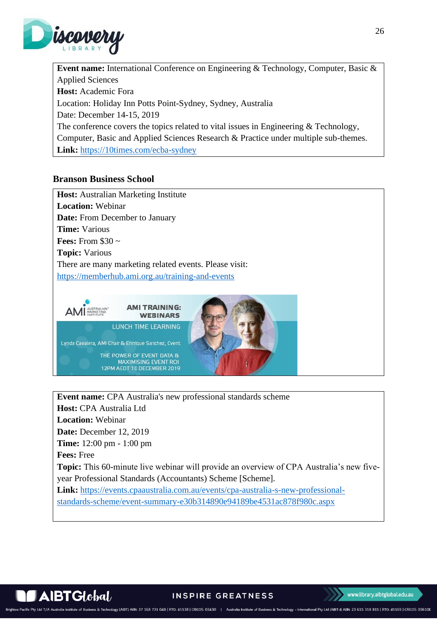

**Event name:** International Conference on Engineering & Technology, Computer, Basic & Applied Sciences **Host:** Academic Fora Location: Holiday Inn Potts Point-Sydney, Sydney, Australia Date: December 14-15, 2019 The conference covers the topics related to vital issues in Engineering & Technology, Computer, Basic and Applied Sciences Research & Practice under multiple sub-themes. **Link:** <https://10times.com/ecba-sydney>

### <span id="page-25-0"></span>**Branson Business School**

**Host:** Australian Marketing Institute **Location:** Webinar **Date:** From December to January **Time:** Various **Fees:** From \$30 ~ **Topic:** Various There are many marketing related events. Please visit: <https://memberhub.ami.org.au/training-and-events>



**Event name:** CPA Australia's new professional standards scheme **Host:** CPA Australia Ltd **Location:** Webinar **Date:** December 12, 2019 **Time:** 12:00 pm - 1:00 pm **Fees:** Free **Topic:** This 60-minute live webinar will provide an overview of CPA Australia's new fiveyear Professional Standards (Accountants) Scheme [Scheme]. **Link:** [https://events.cpaaustralia.com.au/events/cpa-australia-s-new-professional](https://events.cpaaustralia.com.au/events/cpa-australia-s-new-professional-standards-scheme/event-summary-e30b314890e94189be4531ac878f980c.aspx)[standards-scheme/event-summary-e30b314890e94189be4531ac878f980c.aspx](https://events.cpaaustralia.com.au/events/cpa-australia-s-new-professional-standards-scheme/event-summary-e30b314890e94189be4531ac878f980c.aspx)



Brighton Pacific Pty Ltd T/A A

INSPIRE GREATNESS

& Technology (AIBT) ABN: 37 168 731 048 | RTO: 41138 | CRICOS: 03430 | Australia Institute of Business & Technology - International Pty Ltd (AIBT-I) ABN: 23 615 318 815 | RTO: 45169 | CRICOS: 03610E

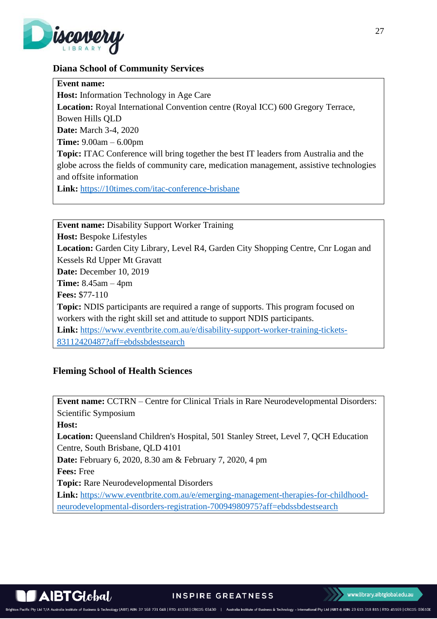

### <span id="page-26-0"></span>**Diana School of Community Services**

**Event name:** 

**Host:** Information Technology in Age Care

**Location:** Royal International Convention centre (Royal ICC) 600 Gregory Terrace,

Bowen Hills QLD

**Date:** March 3-4, 2020

**Time:** 9.00am – 6.00pm

**Topic:** ITAC Conference will bring together the best IT leaders from Australia and the globe across the fields of community care, medication management, assistive technologies and offsite information

**Link:** <https://10times.com/itac-conference-brisbane>

**Event name:** Disability Support Worker Training **Host:** Bespoke Lifestyles **Location:** Garden City Library, Level R4, Garden City Shopping Centre, Cnr Logan and Kessels Rd Upper Mt Gravatt **Date:** December 10, 2019 **Time:** 8.45am – 4pm **Fees:** \$77-110 **Topic:** NDIS participants are required a range of supports. This program focused on workers with the right skill set and attitude to support NDIS participants. **Link:** [https://www.eventbrite.com.au/e/disability-support-worker-training-tickets-](https://www.eventbrite.com.au/e/disability-support-worker-training-tickets-83112420487?aff=ebdssbdestsearch)[83112420487?aff=ebdssbdestsearch](https://www.eventbrite.com.au/e/disability-support-worker-training-tickets-83112420487?aff=ebdssbdestsearch)

## <span id="page-26-1"></span>**Fleming School of Health Sciences**

**Event name:** CCTRN – Centre for Clinical Trials in Rare Neurodevelopmental Disorders: Scientific Symposium **Host:**

**Location:** Queensland Children's Hospital, 501 Stanley Street, Level 7, QCH Education Centre, South Brisbane, QLD 4101

**Date:** February 6, 2020, 8.30 am & February 7, 2020, 4 pm

**Fees:** Free

**Topic:** Rare Neurodevelopmental Disorders

**Link:** [https://www.eventbrite.com.au/e/emerging-management-therapies-for-childhood](https://www.eventbrite.com.au/e/emerging-management-therapies-for-childhood-neurodevelopmental-disorders-registration-70094980975?aff=ebdssbdestsearch)[neurodevelopmental-disorders-registration-70094980975?aff=ebdssbdestsearch](https://www.eventbrite.com.au/e/emerging-management-therapies-for-childhood-neurodevelopmental-disorders-registration-70094980975?aff=ebdssbdestsearch)



Brighton Pacific Pty Ltd T/A Australia Instit

**INSPIRE GREATNESS** 

Technology (AIBT) ABN: 37 168 731 048 | RTO: 41138 | CRICOS: 03430 | Australia Institute of Business & Technology - International Pty Ltd (AIBT-I) ABN: 23 615 318 815 | RTO: 45169 | CRICOS: 03610E